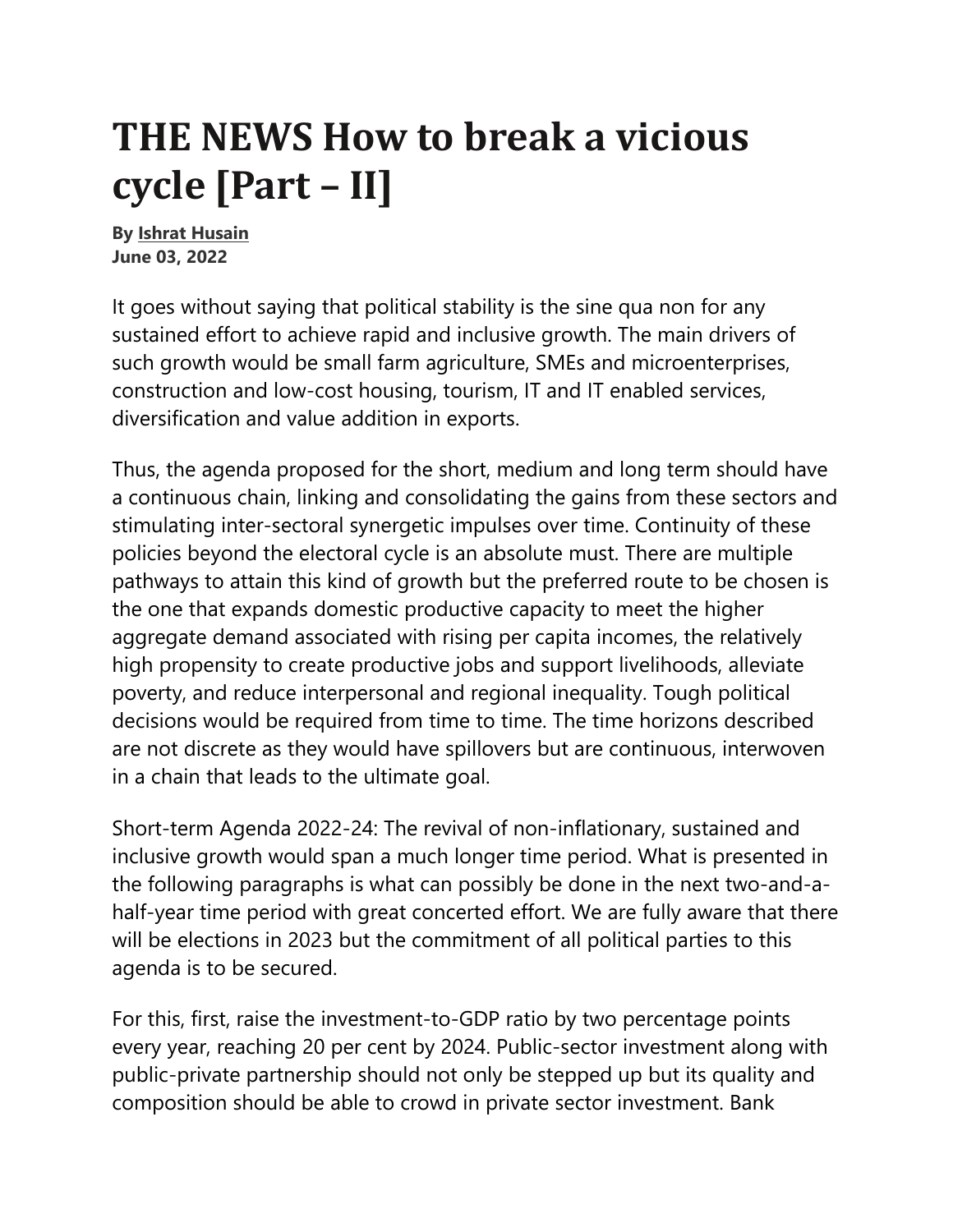## **THE NEWS How to break a vicious cycle [Part – II]**

**By Ishrat Husain June 03, 2022** 

It goes without saying that political stability is the sine qua non for any sustained effort to achieve rapid and inclusive growth. The main drivers of such growth would be small farm agriculture, SMEs and microenterprises, construction and low-cost housing, tourism, IT and IT enabled services, diversification and value addition in exports.

Thus, the agenda proposed for the short, medium and long term should have a continuous chain, linking and consolidating the gains from these sectors and stimulating inter-sectoral synergetic impulses over time. Continuity of these policies beyond the electoral cycle is an absolute must. There are multiple pathways to attain this kind of growth but the preferred route to be chosen is the one that expands domestic productive capacity to meet the higher aggregate demand associated with rising per capita incomes, the relatively high propensity to create productive jobs and support livelihoods, alleviate poverty, and reduce interpersonal and regional inequality. Tough political decisions would be required from time to time. The time horizons described are not discrete as they would have spillovers but are continuous, interwoven in a chain that leads to the ultimate goal.

Short-term Agenda 2022-24: The revival of non-inflationary, sustained and inclusive growth would span a much longer time period. What is presented in the following paragraphs is what can possibly be done in the next two-and-ahalf-year time period with great concerted effort. We are fully aware that there will be elections in 2023 but the commitment of all political parties to this agenda is to be secured.

For this, first, raise the investment-to-GDP ratio by two percentage points every year, reaching 20 per cent by 2024. Public-sector investment along with public-private partnership should not only be stepped up but its quality and composition should be able to crowd in private sector investment. Bank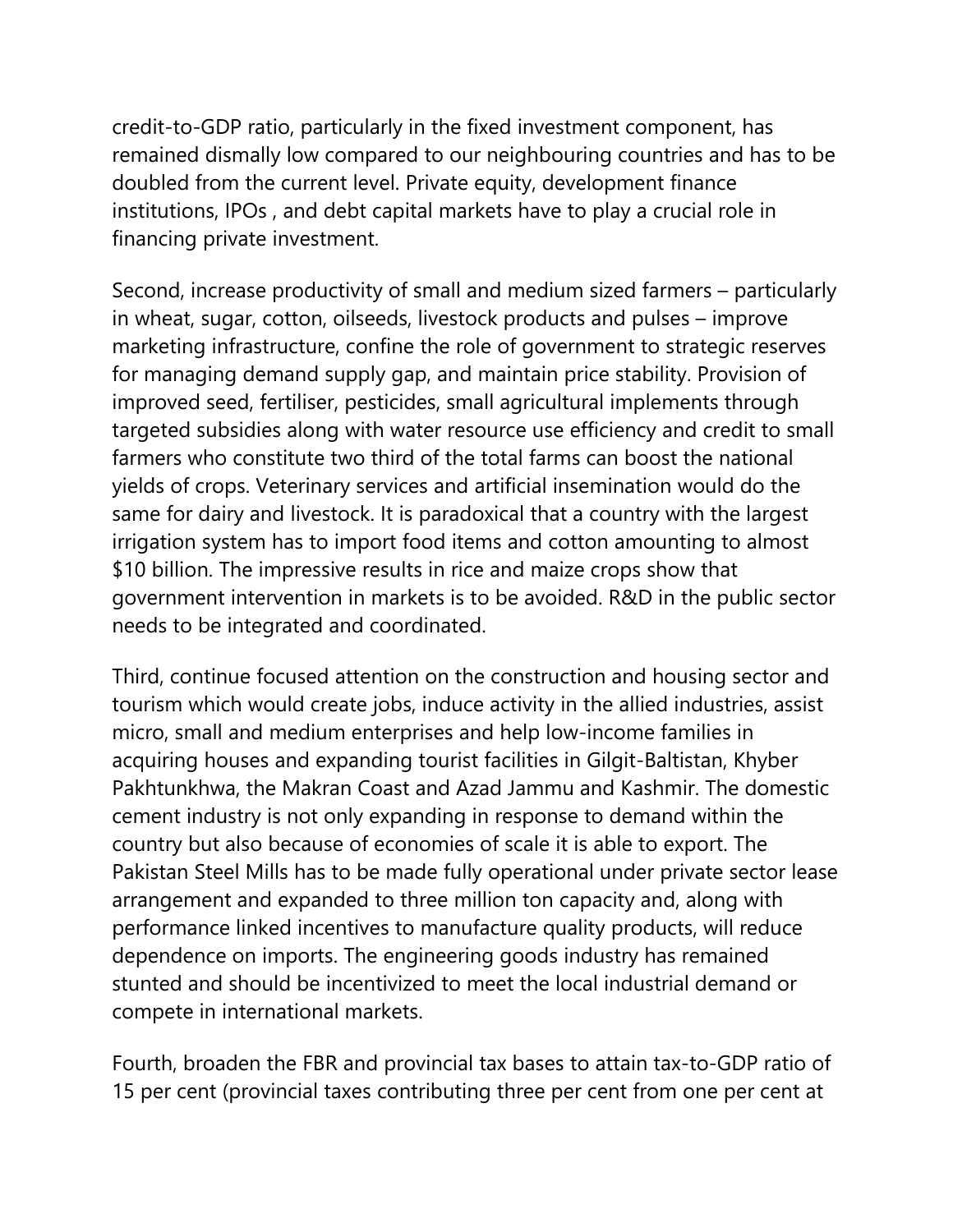credit-to-GDP ratio, particularly in the fixed investment component, has remained dismally low compared to our neighbouring countries and has to be doubled from the current level. Private equity, development finance institutions, IPOs , and debt capital markets have to play a crucial role in financing private investment.

Second, increase productivity of small and medium sized farmers – particularly in wheat, sugar, cotton, oilseeds, livestock products and pulses – improve marketing infrastructure, confine the role of government to strategic reserves for managing demand supply gap, and maintain price stability. Provision of improved seed, fertiliser, pesticides, small agricultural implements through targeted subsidies along with water resource use efficiency and credit to small farmers who constitute two third of the total farms can boost the national yields of crops. Veterinary services and artificial insemination would do the same for dairy and livestock. It is paradoxical that a country with the largest irrigation system has to import food items and cotton amounting to almost \$10 billion. The impressive results in rice and maize crops show that government intervention in markets is to be avoided. R&D in the public sector needs to be integrated and coordinated.

Third, continue focused attention on the construction and housing sector and tourism which would create jobs, induce activity in the allied industries, assist micro, small and medium enterprises and help low-income families in acquiring houses and expanding tourist facilities in Gilgit-Baltistan, Khyber Pakhtunkhwa, the Makran Coast and Azad Jammu and Kashmir. The domestic cement industry is not only expanding in response to demand within the country but also because of economies of scale it is able to export. The Pakistan Steel Mills has to be made fully operational under private sector lease arrangement and expanded to three million ton capacity and, along with performance linked incentives to manufacture quality products, will reduce dependence on imports. The engineering goods industry has remained stunted and should be incentivized to meet the local industrial demand or compete in international markets.

Fourth, broaden the FBR and provincial tax bases to attain tax-to-GDP ratio of 15 per cent (provincial taxes contributing three per cent from one per cent at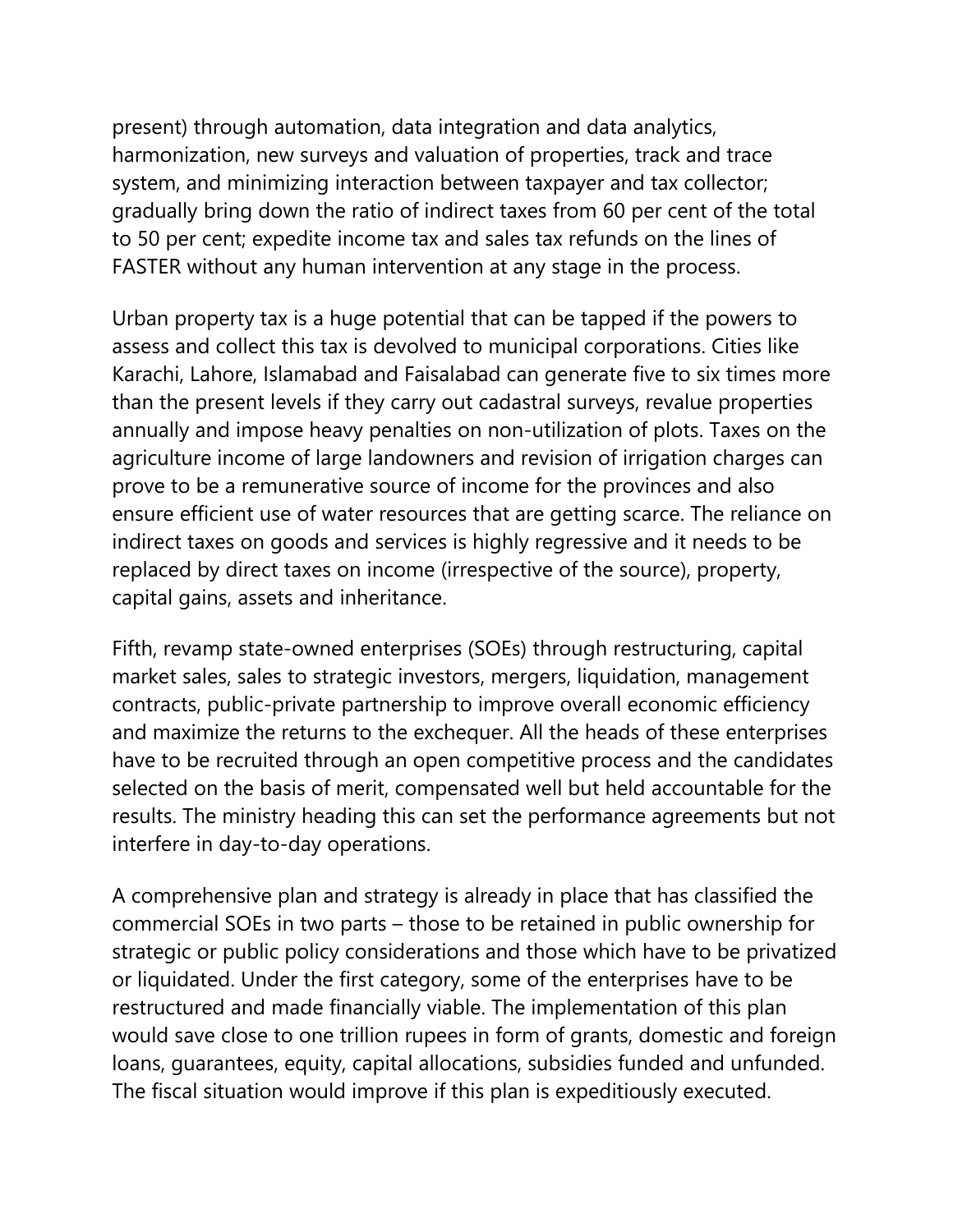present) through automation, data integration and data analytics, harmonization, new surveys and valuation of properties, track and trace system, and minimizing interaction between taxpayer and tax collector; gradually bring down the ratio of indirect taxes from 60 per cent of the total to 50 per cent; expedite income tax and sales tax refunds on the lines of FASTER without any human intervention at any stage in the process.

Urban property tax is a huge potential that can be tapped if the powers to assess and collect this tax is devolved to municipal corporations. Cities like Karachi, Lahore, Islamabad and Faisalabad can generate five to six times more than the present levels if they carry out cadastral surveys, revalue properties annually and impose heavy penalties on non-utilization of plots. Taxes on the agriculture income of large landowners and revision of irrigation charges can prove to be a remunerative source of income for the provinces and also ensure efficient use of water resources that are getting scarce. The reliance on indirect taxes on goods and services is highly regressive and it needs to be replaced by direct taxes on income (irrespective of the source), property, capital gains, assets and inheritance.

Fifth, revamp state-owned enterprises (SOEs) through restructuring, capital market sales, sales to strategic investors, mergers, liquidation, management contracts, public-private partnership to improve overall economic efficiency and maximize the returns to the exchequer. All the heads of these enterprises have to be recruited through an open competitive process and the candidates selected on the basis of merit, compensated well but held accountable for the results. The ministry heading this can set the performance agreements but not interfere in day-to-day operations.

A comprehensive plan and strategy is already in place that has classified the commercial SOEs in two parts – those to be retained in public ownership for strategic or public policy considerations and those which have to be privatized or liquidated. Under the first category, some of the enterprises have to be restructured and made financially viable. The implementation of this plan would save close to one trillion rupees in form of grants, domestic and foreign loans, guarantees, equity, capital allocations, subsidies funded and unfunded. The fiscal situation would improve if this plan is expeditiously executed.